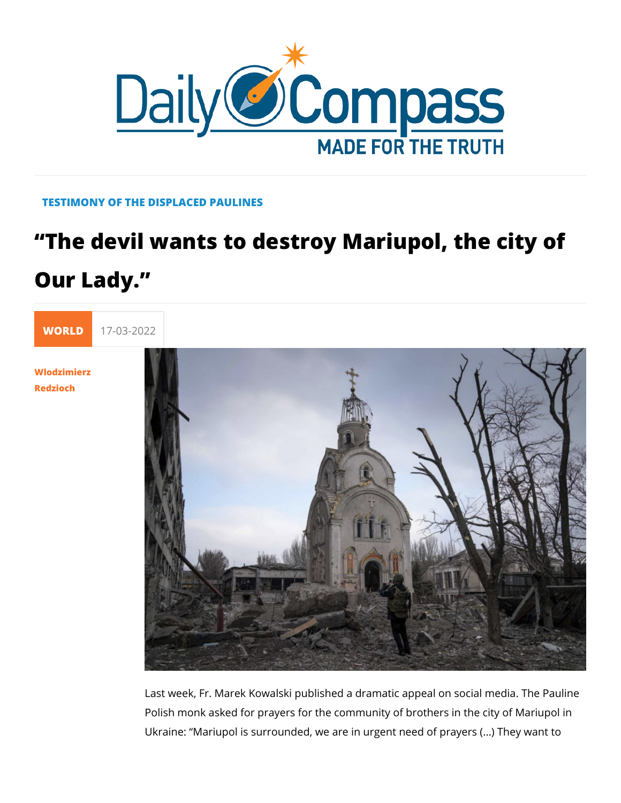## TESTIMONY OF THE DISPLACED PAULINES

## The devil wants to destroy Mariupol, Our Lady.

[WORL](https://newdailycompass.com/en/world)I 17-03-2022

[Wlodzimie](/en/wlodzimierz-redzioch)rz [Redzio](/en/wlodzimierz-redzioch)ch

> Last week, Fr. Marek Kowalski published a dramatic appeal on Polish monk asked for prayers for the community of brothers in Ukraine: Mariupol is surrounded, we are in urgent need of pra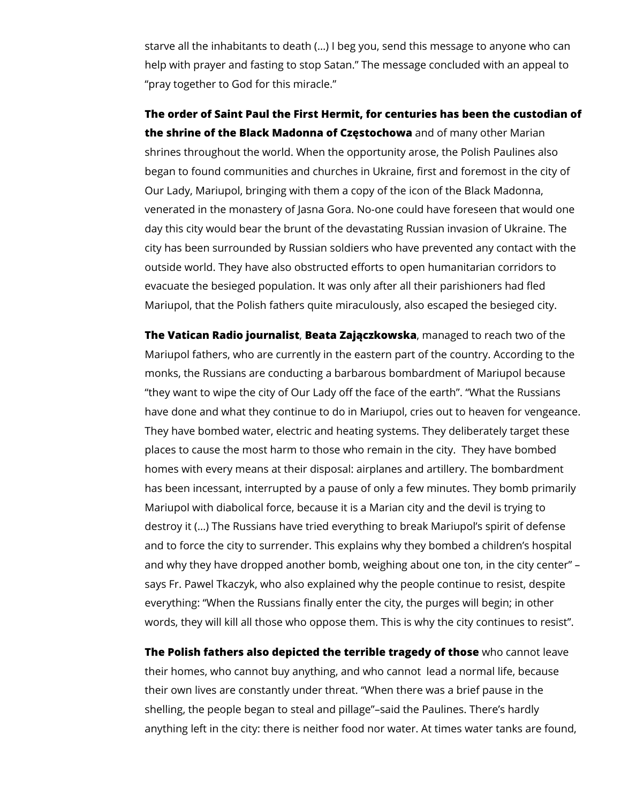starve all the inhabitants to death (…) I beg you, send this message to anyone who can help with prayer and fasting to stop Satan." The message concluded with an appeal to "pray together to God for this miracle."

**The order of Saint Paul the First Hermit, for centuries has been the custodian of the shrine of the Black Madonna of Częstochowa** and of many other Marian shrines throughout the world. When the opportunity arose, the Polish Paulines also began to found communities and churches in Ukraine, first and foremost in the city of Our Lady, Mariupol, bringing with them a copy of the icon of the Black Madonna, venerated in the monastery of Jasna Gora. No-one could have foreseen that would one day this city would bear the brunt of the devastating Russian invasion of Ukraine. The city has been surrounded by Russian soldiers who have prevented any contact with the outside world. They have also obstructed efforts to open humanitarian corridors to evacuate the besieged population. It was only after all their parishioners had fled Mariupol, that the Polish fathers quite miraculously, also escaped the besieged city.

**The Vatican Radio journalist**, **Beata Zajączkowska**, managed to reach two of the Mariupol fathers, who are currently in the eastern part of the country. According to the monks, the Russians are conducting a barbarous bombardment of Mariupol because "they want to wipe the city of Our Lady off the face of the earth". "What the Russians have done and what they continue to do in Mariupol, cries out to heaven for vengeance. They have bombed water, electric and heating systems. They deliberately target these places to cause the most harm to those who remain in the city. They have bombed homes with every means at their disposal: airplanes and artillery. The bombardment has been incessant, interrupted by a pause of only a few minutes. They bomb primarily Mariupol with diabolical force, because it is a Marian city and the devil is trying to destroy it (…) The Russians have tried everything to break Mariupol's spirit of defense and to force the city to surrender. This explains why they bombed a children's hospital and why they have dropped another bomb, weighing about one ton, in the city center" – says Fr. Pawel Tkaczyk, who also explained why the people continue to resist, despite everything: "When the Russians finally enter the city, the purges will begin; in other words, they will kill all those who oppose them. This is why the city continues to resist".

**The Polish fathers also depicted the terrible tragedy of those** who cannot leave their homes, who cannot buy anything, and who cannot lead a normal life, because their own lives are constantly under threat. "When there was a brief pause in the shelling, the people began to steal and pillage"–said the Paulines. There's hardly anything left in the city: there is neither food nor water. At times water tanks are found,